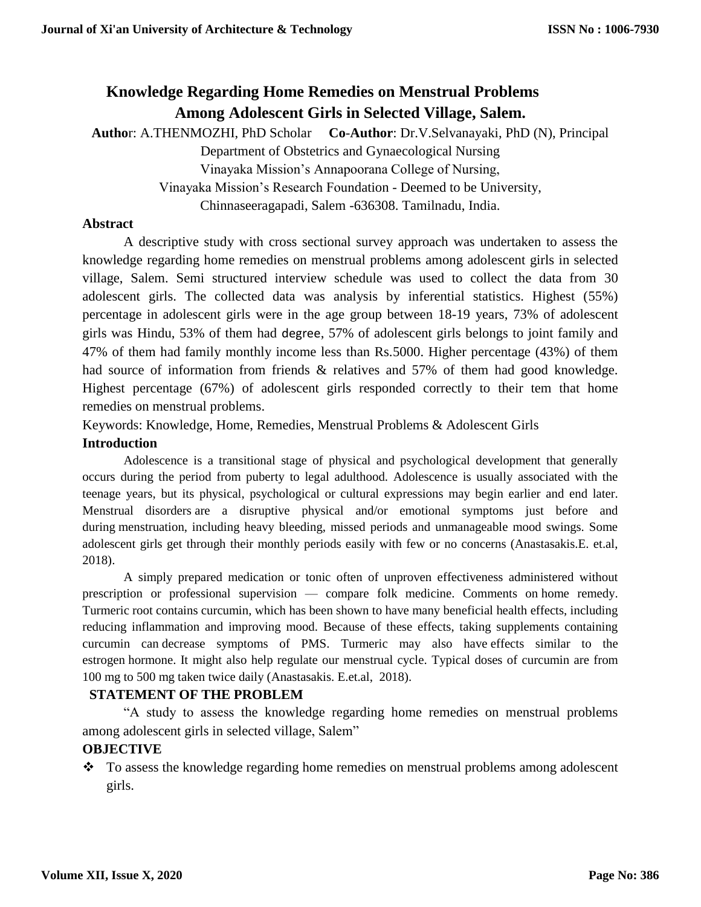# **Knowledge Regarding Home Remedies on Menstrual Problems Among Adolescent Girls in Selected Village, Salem.**

**Autho**r: A.THENMOZHI, PhD Scholar **Co**-**Author**: Dr.V.Selvanayaki, PhD (N), Principal Department of Obstetrics and Gynaecological Nursing

Vinayaka Mission's Annapoorana College of Nursing,

Vinayaka Mission's Research Foundation - Deemed to be University,

Chinnaseeragapadi, Salem -636308. Tamilnadu, India.

# **Abstract**

A descriptive study with cross sectional survey approach was undertaken to assess the knowledge regarding home remedies on menstrual problems among adolescent girls in selected village, Salem. Semi structured interview schedule was used to collect the data from 30 adolescent girls. The collected data was analysis by inferential statistics. Highest (55%) percentage in adolescent girls were in the age group between 18-19 years, 73% of adolescent girls was Hindu, 53% of them had degree, 57% of adolescent girls belongs to joint family and 47% of them had family monthly income less than Rs.5000. Higher percentage (43%) of them had source of information from friends & relatives and 57% of them had good knowledge. Highest percentage (67%) of adolescent girls responded correctly to their tem that home remedies on menstrual problems.

Keywords: Knowledge, Home, Remedies, Menstrual Problems & Adolescent Girls

# **Introduction**

Adolescence is a transitional stage of physical and psychological development that generally occurs during the period from puberty to legal adulthood. Adolescence is usually associated with the teenage years, but its physical, psychological or cultural expressions may begin earlier and end later. Menstrual disorders are a disruptive physical and/or emotional symptoms just before and during menstruation, including heavy bleeding, missed periods and unmanageable mood swings. Some adolescent girls get through their monthly periods easily with few or no concerns (Anastasakis.E. et.al, 2018).

A simply prepared medication or tonic often of unproven effectiveness administered without prescription or professional supervision — compare folk medicine. Comments on home remedy. Turmeric root contains curcumin, which has been shown to have many beneficial health effects, including reducing inflammation and improving mood. Because of these effects, taking supplements containing curcumin can decrease symptoms of PMS. Turmeric may also have effects similar to the estrogen hormone. It might also help regulate our menstrual cycle. Typical doses of curcumin are from 100 mg to 500 mg taken twice daily (Anastasakis. E.et.al, 2018).

#### **STATEMENT OF THE PROBLEM**

"A study to assess the knowledge regarding home remedies on menstrual problems among adolescent girls in selected village, Salem"

# **OBJECTIVE**

 $\bullet$  To assess the knowledge regarding home remedies on menstrual problems among adolescent girls.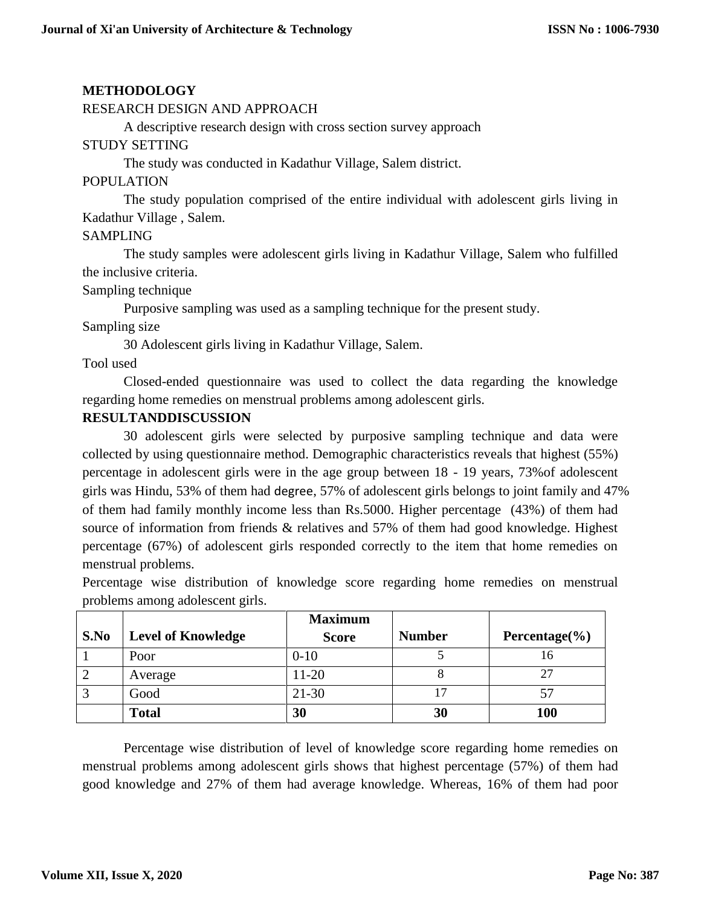# **METHODOLOGY**

#### RESEARCH DESIGN AND APPROACH

A descriptive research design with cross section survey approach

#### STUDY SETTING

The study was conducted in Kadathur Village, Salem district.

#### POPULATION

The study population comprised of the entire individual with adolescent girls living in Kadathur Village , Salem.

## SAMPLING

The study samples were adolescent girls living in Kadathur Village, Salem who fulfilled the inclusive criteria.

#### Sampling technique

Purposive sampling was used as a sampling technique for the present study.

Sampling size

30 Adolescent girls living in Kadathur Village, Salem.

Tool used

Closed-ended questionnaire was used to collect the data regarding the knowledge regarding home remedies on menstrual problems among adolescent girls.

# **RESULTANDDISCUSSION**

30 adolescent girls were selected by purposive sampling technique and data were collected by using questionnaire method. Demographic characteristics reveals that highest (55%) percentage in adolescent girls were in the age group between 18 - 19 years, 73%of adolescent girls was Hindu, 53% of them had degree, 57% of adolescent girls belongs to joint family and 47% of them had family monthly income less than Rs.5000. Higher percentage (43%) of them had source of information from friends & relatives and 57% of them had good knowledge. Highest percentage (67%) of adolescent girls responded correctly to the item that home remedies on menstrual problems.

Percentage wise distribution of knowledge score regarding home remedies on menstrual problems among adolescent girls.

|      |                           | <b>Maximum</b> |               |                    |
|------|---------------------------|----------------|---------------|--------------------|
| S.No | <b>Level of Knowledge</b> | <b>Score</b>   | <b>Number</b> | Percentage $(\% )$ |
|      | Poor                      | $0 - 10$       |               | 16                 |
|      | Average                   | 11-20          |               | 27                 |
|      | Good                      | $21 - 30$      |               | 57                 |
|      | <b>Total</b>              | 30             | 30            | <b>100</b>         |

Percentage wise distribution of level of knowledge score regarding home remedies on menstrual problems among adolescent girls shows that highest percentage (57%) of them had good knowledge and 27% of them had average knowledge. Whereas, 16% of them had poor